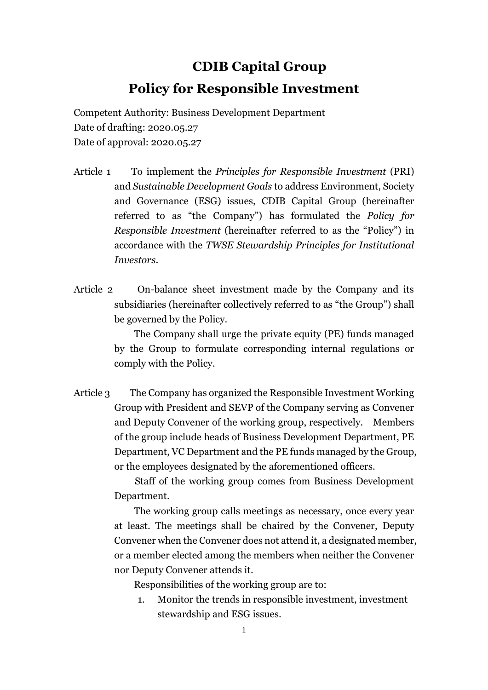## **CDIB Capital Group Policy for Responsible Investment**

Competent Authority: Business Development Department Date of drafting: 2020.05.27 Date of approval: 2020.05.27

- Article 1 To implement the *Principles for Responsible Investment* (PRI) and *Sustainable Development Goals* to address Environment, Society and Governance (ESG) issues, CDIB Capital Group (hereinafter referred to as "the Company") has formulated the *Policy for Responsible Investment* (hereinafter referred to as the "Policy") in accordance with the *TWSE Stewardship Principles for Institutional Investors*.
- Article 2 On-balance sheet investment made by the Company and its subsidiaries (hereinafter collectively referred to as "the Group") shall be governed by the Policy.

 The Company shall urge the private equity (PE) funds managed by the Group to formulate corresponding internal regulations or comply with the Policy.

Article 3 The Company has organized the Responsible Investment Working Group with President and SEVP of the Company serving as Convener and Deputy Convener of the working group, respectively. Members of the group include heads of Business Development Department, PE Department, VC Department and the PE funds managed by the Group, or the employees designated by the aforementioned officers.

> Staff of the working group comes from Business Development Department.

> The working group calls meetings as necessary, once every year at least. The meetings shall be chaired by the Convener, Deputy Convener when the Convener does not attend it, a designated member, or a member elected among the members when neither the Convener nor Deputy Convener attends it.

Responsibilities of the working group are to:

1. Monitor the trends in responsible investment, investment stewardship and ESG issues.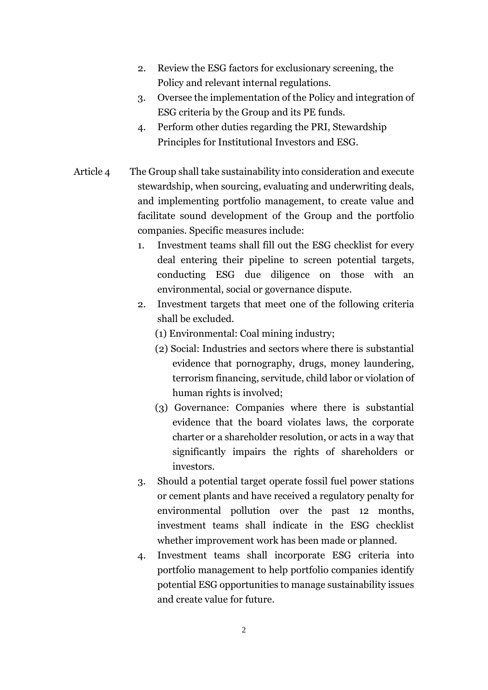- 2. Review the ESG factors for exclusionary screening, the Policy and relevant internal regulations.
- 3. Oversee the implementation of the Policy and integration of ESG criteria by the Group and its PE funds.
- 4. Perform other duties regarding the PRI, Stewardship Principles for Institutional Investors and ESG.
- Article 4 The Group shall take sustainability into consideration and execute stewardship, when sourcing, evaluating and underwriting deals, and implementing portfolio management, to create value and facilitate sound development of the Group and the portfolio companies. Specific measures include:
	- 1. Investment teams shall fill out the ESG checklist for every deal entering their pipeline to screen potential targets, conducting ESG due diligence on those with an environmental, social or governance dispute.
	- 2. Investment targets that meet one of the following criteria shall be excluded.
		- (1) Environmental: Coal mining industry;
		- (2) Social: Industries and sectors where there is substantial evidence that pornography, drugs, money laundering, terrorism financing, servitude, child labor or violation of human rights is involved;
		- (3) Governance: Companies where there is substantial evidence that the board violates laws, the corporate charter or a shareholder resolution, or acts in a way that significantly impairs the rights of shareholders or investors.
	- 3. Should a potential target operate fossil fuel power stations or cement plants and have received a regulatory penalty for environmental pollution over the past 12 months, investment teams shall indicate in the ESG checklist whether improvement work has been made or planned.
	- 4. Investment teams shall incorporate ESG criteria into portfolio management to help portfolio companies identify potential ESG opportunities to manage sustainability issues and create value for future.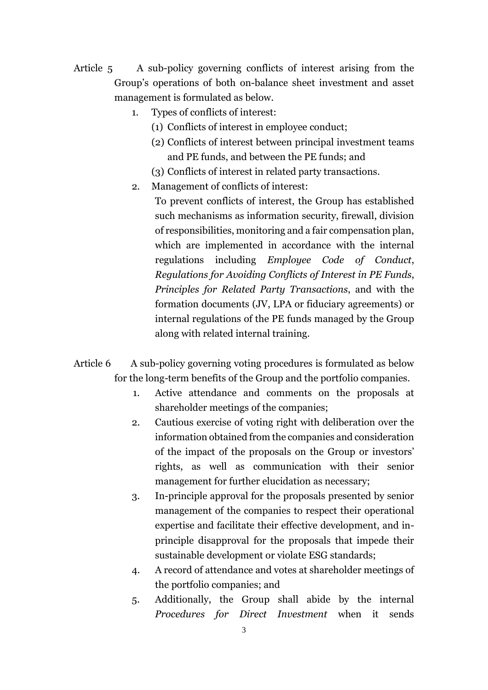- Article 5 A sub-policy governing conflicts of interest arising from the Group's operations of both on-balance sheet investment and asset management is formulated as below.
	- 1. Types of conflicts of interest:
		- (1) Conflicts of interest in employee conduct;
		- (2) Conflicts of interest between principal investment teams and PE funds, and between the PE funds; and
		- (3) Conflicts of interest in related party transactions.
	- 2. Management of conflicts of interest:

To prevent conflicts of interest, the Group has established such mechanisms as information security, firewall, division of responsibilities, monitoring and a fair compensation plan, which are implemented in accordance with the internal regulations including *Employee Code of Conduct*, *Regulations for Avoiding Conflicts of Interest in PE Funds*, *Principles for Related Party Transactions*, and with the formation documents (JV, LPA or fiduciary agreements) or internal regulations of the PE funds managed by the Group along with related internal training.

- Article 6 A sub-policy governing voting procedures is formulated as below for the long-term benefits of the Group and the portfolio companies.
	- 1. Active attendance and comments on the proposals at shareholder meetings of the companies;
	- 2. Cautious exercise of voting right with deliberation over the information obtained from the companies and consideration of the impact of the proposals on the Group or investors' rights, as well as communication with their senior management for further elucidation as necessary;
	- 3. In-principle approval for the proposals presented by senior management of the companies to respect their operational expertise and facilitate their effective development, and inprinciple disapproval for the proposals that impede their sustainable development or violate ESG standards;
	- 4. A record of attendance and votes at shareholder meetings of the portfolio companies; and
	- 5. Additionally, the Group shall abide by the internal *Procedures for Direct Investment* when it sends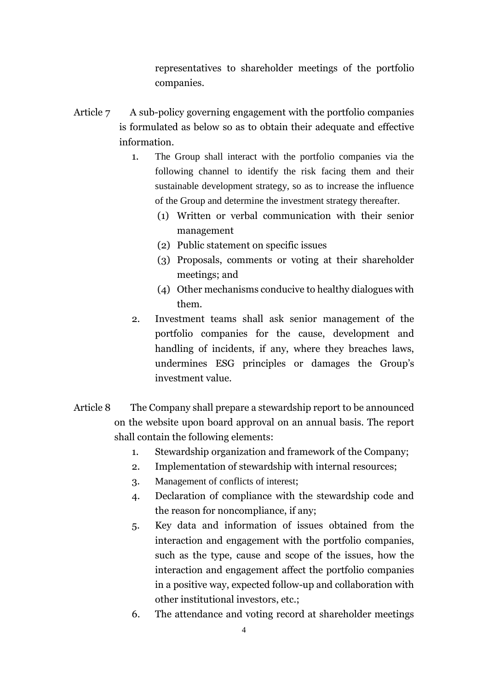representatives to shareholder meetings of the portfolio companies.

- Article 7 A sub-policy governing engagement with the portfolio companies is formulated as below so as to obtain their adequate and effective information.
	- 1. The Group shall interact with the portfolio companies via the following channel to identify the risk facing them and their sustainable development strategy, so as to increase the influence of the Group and determine the investment strategy thereafter.
		- (1) Written or verbal communication with their senior management
		- (2) Public statement on specific issues
		- (3) Proposals, comments or voting at their shareholder meetings; and
		- (4) Other mechanisms conducive to healthy dialogues with them.
	- 2. Investment teams shall ask senior management of the portfolio companies for the cause, development and handling of incidents, if any, where they breaches laws, undermines ESG principles or damages the Group's investment value.
- Article 8 The Company shall prepare a stewardship report to be announced on the website upon board approval on an annual basis. The report shall contain the following elements:
	- 1. Stewardship organization and framework of the Company;
	- 2. Implementation of stewardship with internal resources;
	- 3. Management of conflicts of interest;
	- 4. Declaration of compliance with the stewardship code and the reason for noncompliance, if any;
	- 5. Key data and information of issues obtained from the interaction and engagement with the portfolio companies, such as the type, cause and scope of the issues, how the interaction and engagement affect the portfolio companies in a positive way, expected follow-up and collaboration with other institutional investors, etc.;
	- 6. The attendance and voting record at shareholder meetings